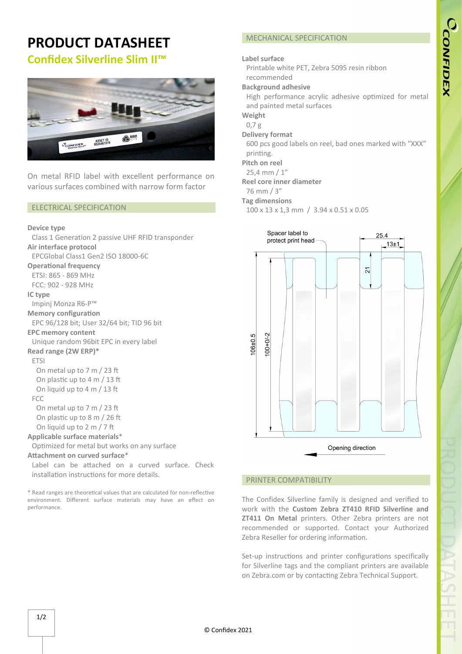# **PRODUCT DATASHEET Confidex Silverline Slim II™**



On metal RFID label with excellent performance on various surfaces combined with narrow form factor

### ELECTRICAL SPECIFICATION

#### **Device type**

Class 1 Generation 2 passive UHF RFID transponder **Air interface protocol** EPCGlobal Class1 Gen2 ISO 18000-6C **Operational frequency** ETSI: 865 - 869 MHz FCC: 902 - 928 MHz **IC type** Impinj Monza R6-P™ **Memory configuration** EPC 96/128 bit; User 32/64 bit; TID 96 bit **EPC memory content** Unique random 96bit EPC in every label **Read range (2W ERP)\*** ETSI On metal up to 7 m / 23 ft On plastic up to 4 m / 13 ft On liquid up to  $4 \text{ m}$  / 13 ft FCC On metal up to 7 m / 23 ft On plastic up to 8 m / 26 ft On liquid up to 2 m / 7 ft **Applicable surface materials**\* Optimized for metal but works on any surface Attachment on curved surface<sup>\*</sup> Label can be attached on a curved surface. Check installation instructions for more details.

\* Read ranges are theore�cal values that are calculated for non-reflec�ve environment. Different surface materials may have an effect on performance.

# MECHANICAL SPECIFICATION

### **Label surface**

Printable white PET, Zebra 5095 resin ribbon recommended

### **Background adhesive**

High performance acrylic adhesive optimized for metal and painted metal surfaces

**Weight**

# 0,7 g

**Delivery format**

600 pcs good labels on reel, bad ones marked with "XXX" printing.

### **Pitch on reel**

25,4 mm / 1"

**Reel core inner diameter**

76 mm / 3"

### **Tag dimensions**

100 x 13 x 1,3 mm / 3.94 x 0.51 x 0.05



### PRINTER COMPATIBILITY

The Confidex Silverline family is designed and verified to work with the **Custom Zebra ZT410 RFID Silverline and ZT411 On Metal** printers. Other Zebra printers are not recommended or supported. Contact your Authorized Zebra Reseller for ordering information.

Set-up instructions and printer configurations specifically for Silverline tags and the compliant printers are available on Zebra.com or by contacting Zebra Technical Support.